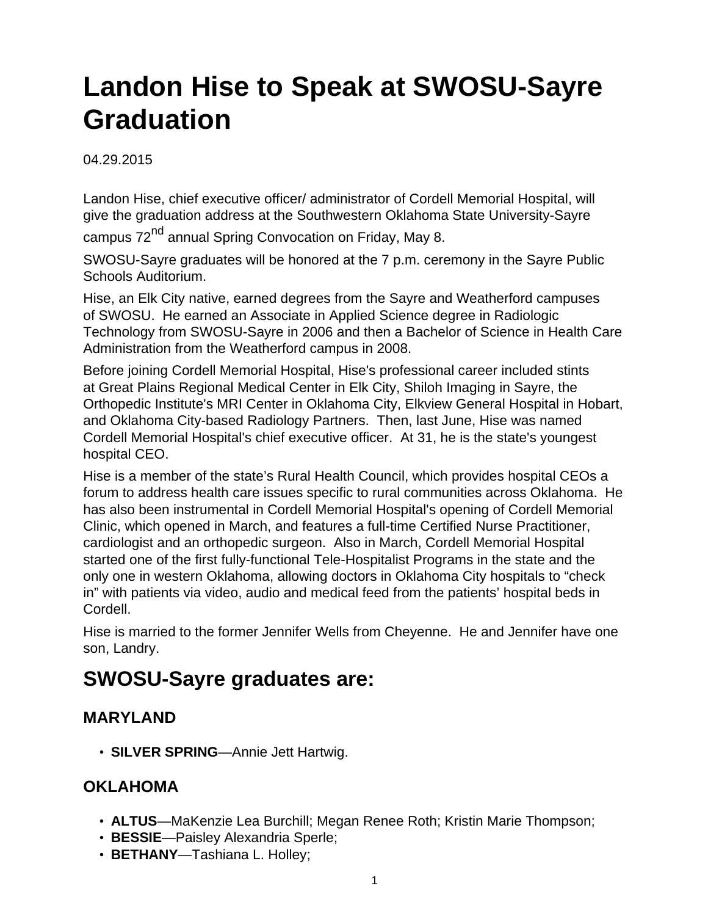# **Landon Hise to Speak at SWOSU-Sayre Graduation**

04.29.2015

Landon Hise, chief executive officer/ administrator of Cordell Memorial Hospital, will give the graduation address at the Southwestern Oklahoma State University-Sayre

campus 72<sup>nd</sup> annual Spring Convocation on Friday, May 8.

SWOSU-Sayre graduates will be honored at the 7 p.m. ceremony in the Sayre Public Schools Auditorium.

Hise, an Elk City native, earned degrees from the Sayre and Weatherford campuses of SWOSU. He earned an Associate in Applied Science degree in Radiologic Technology from SWOSU-Sayre in 2006 and then a Bachelor of Science in Health Care Administration from the Weatherford campus in 2008.

Before joining Cordell Memorial Hospital, Hise's professional career included stints at Great Plains Regional Medical Center in Elk City, Shiloh Imaging in Sayre, the Orthopedic Institute's MRI Center in Oklahoma City, Elkview General Hospital in Hobart, and Oklahoma City-based Radiology Partners. Then, last June, Hise was named Cordell Memorial Hospital's chief executive officer. At 31, he is the state's youngest hospital CEO.

Hise is a member of the state's Rural Health Council, which provides hospital CEOs a forum to address health care issues specific to rural communities across Oklahoma. He has also been instrumental in Cordell Memorial Hospital's opening of Cordell Memorial Clinic, which opened in March, and features a full-time Certified Nurse Practitioner, cardiologist and an orthopedic surgeon. Also in March, Cordell Memorial Hospital started one of the first fully-functional Tele-Hospitalist Programs in the state and the only one in western Oklahoma, allowing doctors in Oklahoma City hospitals to "check in" with patients via video, audio and medical feed from the patients' hospital beds in Cordell.

Hise is married to the former Jennifer Wells from Cheyenne. He and Jennifer have one son, Landry.

## **SWOSU-Sayre graduates are:**

#### **MARYLAND**

• **SILVER SPRING**—Annie Jett Hartwig.

#### **OKLAHOMA**

- **ALTUS**—MaKenzie Lea Burchill; Megan Renee Roth; Kristin Marie Thompson;
- **BESSIE**—Paisley Alexandria Sperle;
- **BETHANY**—Tashiana L. Holley;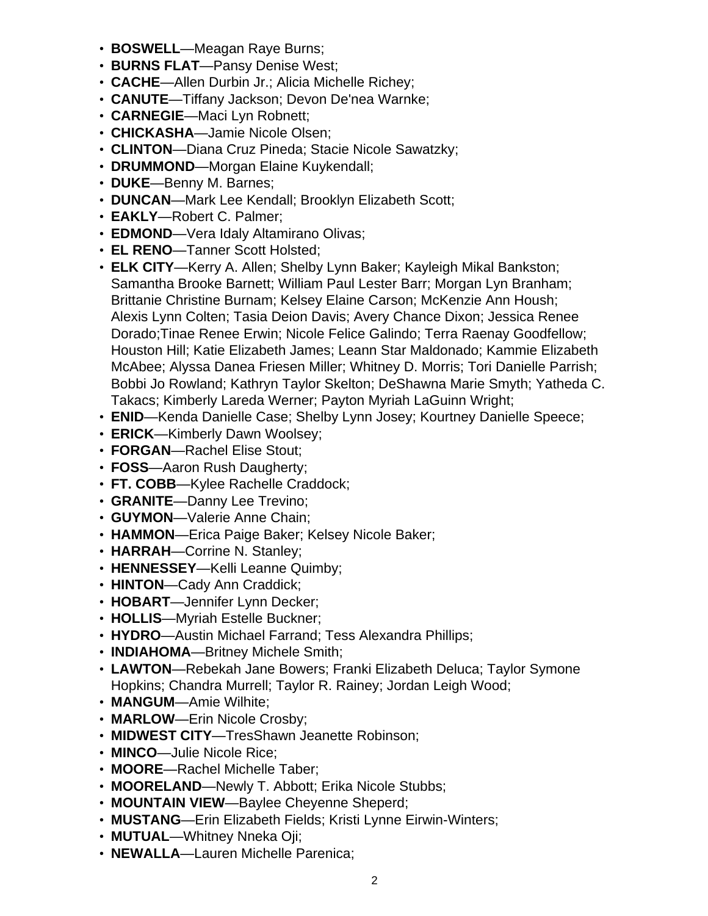- **BOSWELL**—Meagan Raye Burns;
- **BURNS FLAT**—Pansy Denise West;
- **CACHE**—Allen Durbin Jr.; Alicia Michelle Richey;
- **CANUTE**—Tiffany Jackson; Devon De'nea Warnke;
- **CARNEGIE**—Maci Lyn Robnett;
- **CHICKASHA**—Jamie Nicole Olsen;
- **CLINTON**—Diana Cruz Pineda; Stacie Nicole Sawatzky;
- **DRUMMOND**—Morgan Elaine Kuykendall;
- **DUKE**—Benny M. Barnes;
- **DUNCAN**—Mark Lee Kendall; Brooklyn Elizabeth Scott;
- **EAKLY**—Robert C. Palmer;
- **EDMOND**—Vera Idaly Altamirano Olivas;
- **EL RENO**—Tanner Scott Holsted;
- **ELK CITY**—Kerry A. Allen; Shelby Lynn Baker; Kayleigh Mikal Bankston; Samantha Brooke Barnett; William Paul Lester Barr; Morgan Lyn Branham; Brittanie Christine Burnam; Kelsey Elaine Carson; McKenzie Ann Housh; Alexis Lynn Colten; Tasia Deion Davis; Avery Chance Dixon; Jessica Renee Dorado;Tinae Renee Erwin; Nicole Felice Galindo; Terra Raenay Goodfellow; Houston Hill; Katie Elizabeth James; Leann Star Maldonado; Kammie Elizabeth McAbee; Alyssa Danea Friesen Miller; Whitney D. Morris; Tori Danielle Parrish; Bobbi Jo Rowland; Kathryn Taylor Skelton; DeShawna Marie Smyth; Yatheda C. Takacs; Kimberly Lareda Werner; Payton Myriah LaGuinn Wright;
- **ENID**—Kenda Danielle Case; Shelby Lynn Josey; Kourtney Danielle Speece;
- **ERICK**—Kimberly Dawn Woolsey;
- **FORGAN**—Rachel Elise Stout;
- **FOSS**—Aaron Rush Daugherty;
- **FT. COBB**—Kylee Rachelle Craddock;
- **GRANITE**—Danny Lee Trevino;
- **GUYMON**—Valerie Anne Chain;
- **HAMMON**—Erica Paige Baker; Kelsey Nicole Baker;
- **HARRAH**—Corrine N. Stanley;
- **HENNESSEY**—Kelli Leanne Quimby;
- **HINTON**—Cady Ann Craddick;
- **HOBART**—Jennifer Lynn Decker;
- **HOLLIS**—Myriah Estelle Buckner;
- **HYDRO**—Austin Michael Farrand; Tess Alexandra Phillips;
- **INDIAHOMA**—Britney Michele Smith;
- **LAWTON**—Rebekah Jane Bowers; Franki Elizabeth Deluca; Taylor Symone Hopkins; Chandra Murrell; Taylor R. Rainey; Jordan Leigh Wood;
- **MANGUM**—Amie Wilhite;
- **MARLOW**—Erin Nicole Crosby;
- **MIDWEST CITY**—TresShawn Jeanette Robinson;
- **MINCO**—Julie Nicole Rice;
- **MOORE**—Rachel Michelle Taber;
- **MOORELAND**—Newly T. Abbott; Erika Nicole Stubbs;
- **MOUNTAIN VIEW**—Baylee Cheyenne Sheperd;
- **MUSTANG**—Erin Elizabeth Fields; Kristi Lynne Eirwin-Winters;
- **MUTUAL**—Whitney Nneka Oji;
- **NEWALLA**—Lauren Michelle Parenica;